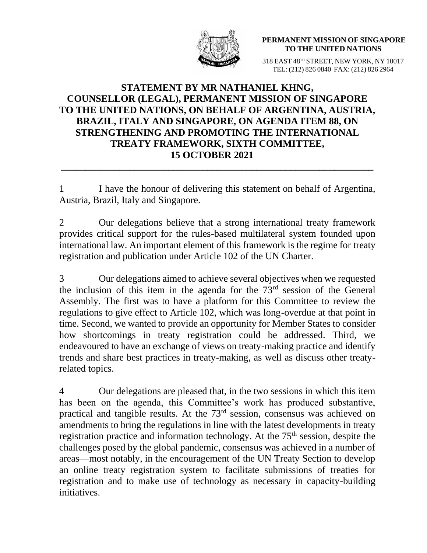

**PERMANENT MISSION OF SINGAPORE TO THE UNITED NATIONS**

318 EAST 48TH STREET, NEW YORK, NY 10017 TEL: (212) 826 0840 FAX: (212) 826 2964

## **STATEMENT BY MR NATHANIEL KHNG, COUNSELLOR (LEGAL), PERMANENT MISSION OF SINGAPORE TO THE UNITED NATIONS, ON BEHALF OF ARGENTINA, AUSTRIA, BRAZIL, ITALY AND SINGAPORE, ON AGENDA ITEM 88, ON STRENGTHENING AND PROMOTING THE INTERNATIONAL TREATY FRAMEWORK, SIXTH COMMITTEE, 15 OCTOBER 2021**

1 I have the honour of delivering this statement on behalf of Argentina, Austria, Brazil, Italy and Singapore.

**\_\_\_\_\_\_\_\_\_\_\_\_\_\_\_\_\_\_\_\_\_\_\_\_\_\_\_\_\_\_\_\_\_\_\_\_\_\_\_\_\_\_\_\_\_\_\_\_\_\_\_\_\_\_\_\_\_\_\_\_\_\_\_\_**

2 Our delegations believe that a strong international treaty framework provides critical support for the rules-based multilateral system founded upon international law. An important element of this framework is the regime for treaty registration and publication under Article 102 of the UN Charter.

3 Our delegations aimed to achieve several objectives when we requested the inclusion of this item in the agenda for the  $73<sup>rd</sup>$  session of the General Assembly. The first was to have a platform for this Committee to review the regulations to give effect to Article 102, which was long-overdue at that point in time. Second, we wanted to provide an opportunity for Member States to consider how shortcomings in treaty registration could be addressed. Third, we endeavoured to have an exchange of views on treaty-making practice and identify trends and share best practices in treaty-making, as well as discuss other treatyrelated topics.

4 Our delegations are pleased that, in the two sessions in which this item has been on the agenda, this Committee's work has produced substantive, practical and tangible results. At the 73rd session, consensus was achieved on amendments to bring the regulations in line with the latest developments in treaty registration practice and information technology. At the 75<sup>th</sup> session, despite the challenges posed by the global pandemic, consensus was achieved in a number of areas—most notably, in the encouragement of the UN Treaty Section to develop an online treaty registration system to facilitate submissions of treaties for registration and to make use of technology as necessary in capacity-building initiatives.